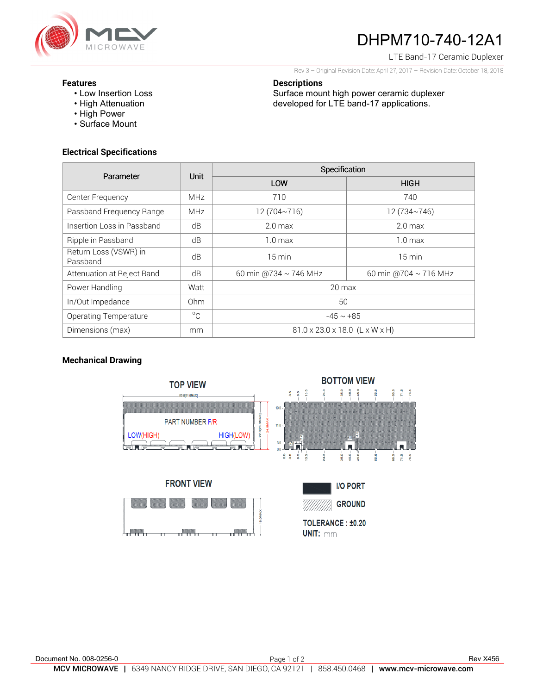

# DHPM710-740-12A1

LTE Band-17 Ceramic Duplexer

Rev 3 – Original Revision Date: April 27, 2017 – Revision Date: October 18, 2018

Surface mount high power ceramic duplexer developed for LTE band-17 applications.

#### **Features**

- Low Insertion Loss
- High Attenuation
- High Power
- Surface Mount

## **Electrical Specifications**

| Parameter                         | <b>Unit</b>  | Specification                  |                            |
|-----------------------------------|--------------|--------------------------------|----------------------------|
|                                   |              | LOW                            | <b>HIGH</b>                |
| Center Frequency                  | <b>MHz</b>   | 710                            | 740                        |
| Passband Frequency Range          | <b>MHz</b>   | 12 (704~716)                   | 12 (734~746)               |
| Insertion Loss in Passband        | dB           | 2.0 <sub>max</sub>             | 2.0 <sub>max</sub>         |
| Ripple in Passband                | dB           | $1.0 \text{ max}$              | 1.0 <sub>max</sub>         |
| Return Loss (VSWR) in<br>Passband | dB           | $15 \text{ min}$               | $15 \text{ min}$           |
| Attenuation at Reject Band        | dB           | 60 min @734 $\sim$ 746 MHz     | 60 min @704 $\sim$ 716 MHz |
| Power Handling                    | Watt         | $20 \text{ max}$               |                            |
| In/Out Impedance                  | Ohm          | 50                             |                            |
| Operating Temperature             | $^{\circ}$ C | $-45 \sim +85$                 |                            |
| Dimensions (max)                  | mm           | 81.0 x 23.0 x 18.0 (L x W x H) |                            |

**Descriptions** 

## **Mechanical Drawing**